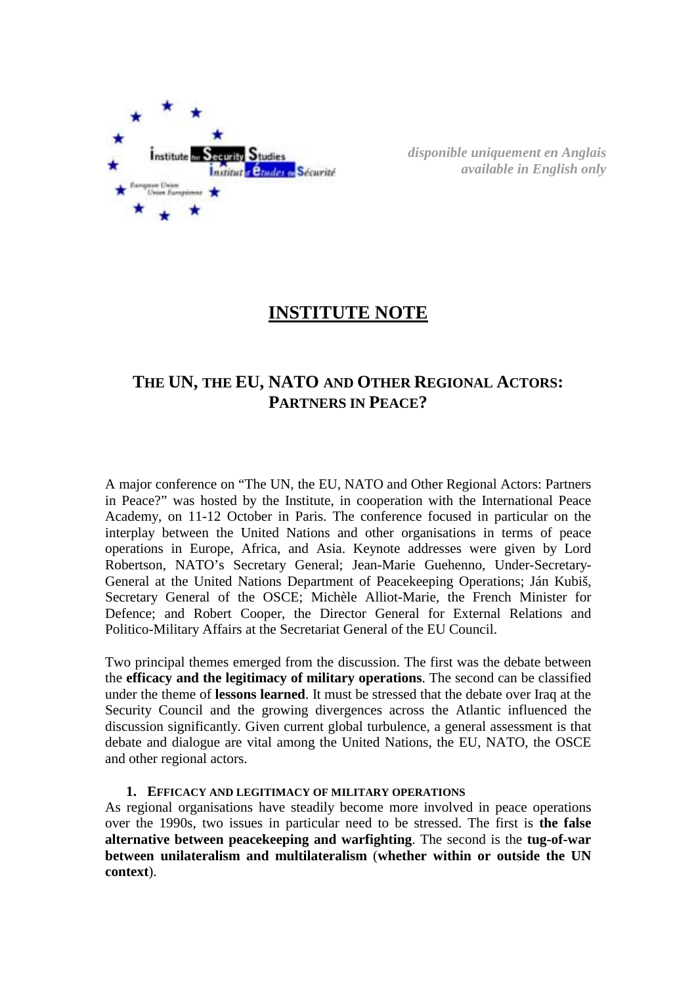

*disponible uniquement en Anglais available in English only* 

# **INSTITUTE NOTE**

# **THE UN, THE EU, NATO AND OTHER REGIONAL ACTORS: PARTNERS IN PEACE?**

A major conference on "The UN, the EU, NATO and Other Regional Actors: Partners in Peace?" was hosted by the Institute, in cooperation with the International Peace Academy, on 11-12 October in Paris. The conference focused in particular on the interplay between the United Nations and other organisations in terms of peace operations in Europe, Africa, and Asia. Keynote addresses were given by Lord Robertson, NATO's Secretary General; Jean-Marie Guehenno, Under-Secretary-General at the United Nations Department of Peacekeeping Operations; Ján Kubiš, Secretary General of the OSCE; Michèle Alliot-Marie, the French Minister for Defence; and Robert Cooper, the Director General for External Relations and Politico-Military Affairs at the Secretariat General of the EU Council.

Two principal themes emerged from the discussion. The first was the debate between the **efficacy and the legitimacy of military operations**. The second can be classified under the theme of **lessons learned**. It must be stressed that the debate over Iraq at the Security Council and the growing divergences across the Atlantic influenced the discussion significantly. Given current global turbulence, a general assessment is that debate and dialogue are vital among the United Nations, the EU, NATO, the OSCE and other regional actors.

### **1. EFFICACY AND LEGITIMACY OF MILITARY OPERATIONS**

As regional organisations have steadily become more involved in peace operations over the 1990s, two issues in particular need to be stressed. The first is **the false alternative between peacekeeping and warfighting**. The second is the **tug-of-war between unilateralism and multilateralism** (**whether within or outside the UN context**).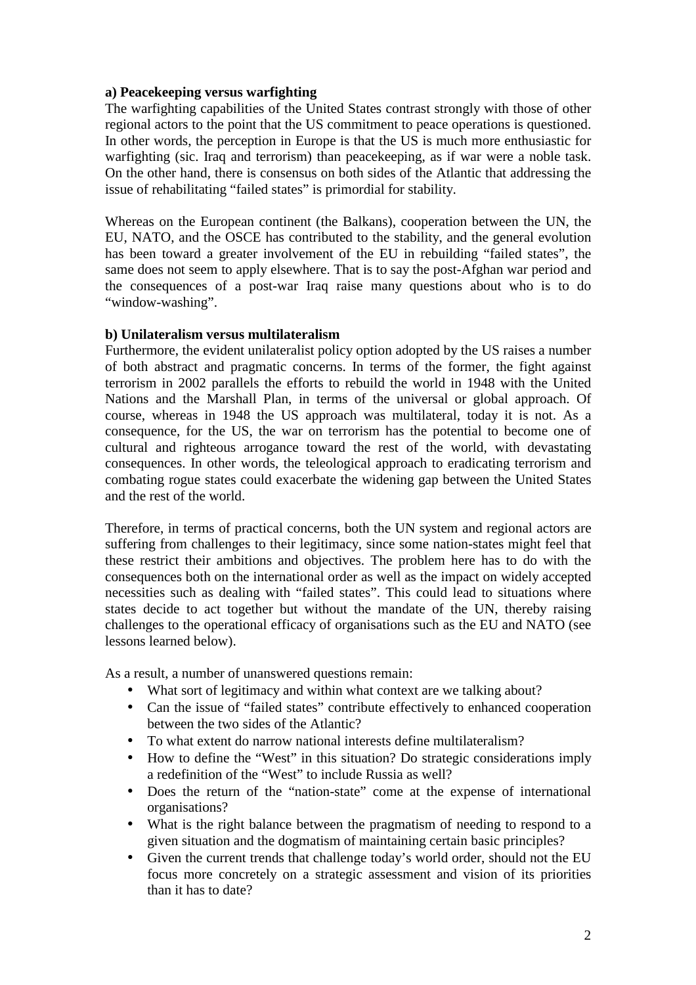## **a) Peacekeeping versus warfighting**

The warfighting capabilities of the United States contrast strongly with those of other regional actors to the point that the US commitment to peace operations is questioned. In other words, the perception in Europe is that the US is much more enthusiastic for warfighting (sic. Iraq and terrorism) than peacekeeping, as if war were a noble task. On the other hand, there is consensus on both sides of the Atlantic that addressing the issue of rehabilitating "failed states" is primordial for stability.

Whereas on the European continent (the Balkans), cooperation between the UN, the EU, NATO, and the OSCE has contributed to the stability, and the general evolution has been toward a greater involvement of the EU in rebuilding "failed states", the same does not seem to apply elsewhere. That is to say the post-Afghan war period and the consequences of a post-war Iraq raise many questions about who is to do "window-washing".

## **b) Unilateralism versus multilateralism**

Furthermore, the evident unilateralist policy option adopted by the US raises a number of both abstract and pragmatic concerns. In terms of the former, the fight against terrorism in 2002 parallels the efforts to rebuild the world in 1948 with the United Nations and the Marshall Plan, in terms of the universal or global approach. Of course, whereas in 1948 the US approach was multilateral, today it is not. As a consequence, for the US, the war on terrorism has the potential to become one of cultural and righteous arrogance toward the rest of the world, with devastating consequences. In other words, the teleological approach to eradicating terrorism and combating rogue states could exacerbate the widening gap between the United States and the rest of the world.

Therefore, in terms of practical concerns, both the UN system and regional actors are suffering from challenges to their legitimacy, since some nation-states might feel that these restrict their ambitions and objectives. The problem here has to do with the consequences both on the international order as well as the impact on widely accepted necessities such as dealing with "failed states". This could lead to situations where states decide to act together but without the mandate of the UN, thereby raising challenges to the operational efficacy of organisations such as the EU and NATO (see lessons learned below).

As a result, a number of unanswered questions remain:

- What sort of legitimacy and within what context are we talking about?
- Can the issue of "failed states" contribute effectively to enhanced cooperation between the two sides of the Atlantic?
- To what extent do narrow national interests define multilateralism?
- How to define the "West" in this situation? Do strategic considerations imply a redefinition of the "West" to include Russia as well?
- Does the return of the "nation-state" come at the expense of international organisations?
- What is the right balance between the pragmatism of needing to respond to a given situation and the dogmatism of maintaining certain basic principles?
- Given the current trends that challenge today's world order, should not the EU focus more concretely on a strategic assessment and vision of its priorities than it has to date?